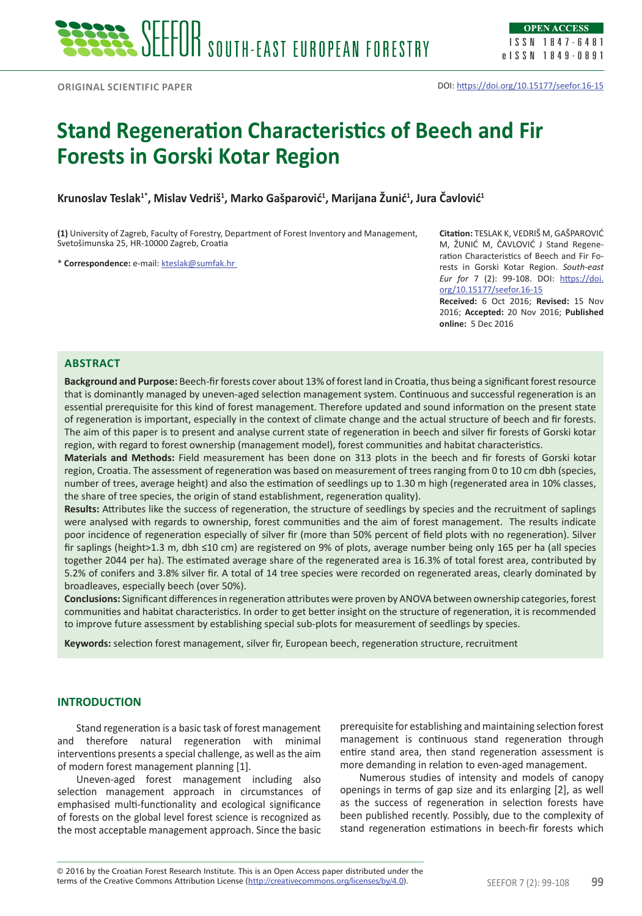ISSN 1847-6481 eISSN 1849-0891

# **Stand Regeneration Characteristics of Beech and Fir Forests in Gorski Kotar Region**

**Krunoslav Teslak1\*, Mislav Vedriš<sup>1</sup> , Marko Gašparović<sup>1</sup> , Marijana Žunić<sup>1</sup> , Jura Čavlović<sup>1</sup>**

**(1)** University of Zagreb, Faculty of Forestry, Department of Forest Inventory and Management, Svetošimunska 25, HR-10000 Zagreb, Croatia

\* **Correspondence:** e-mail: [kteslak@sumfak.hr](mailto:kteslak@sumfak.hr)

**Citation:** TESLAK K, VEDRIŠ M, GAŠPAROVIĆ M, ŽUNIĆ M, ČAVLOVIĆ J Stand Regeneration Characteristics of Beech and Fir Forests in Gorski Kotar Region. *South-east Eur for* 7 (2): 99-108. DOI: [https://doi.](https://doi.org/10.15177/seefor.16-15) [org/10.15177/seefor.16-15](https://doi.org/10.15177/seefor.16-15)

**Received:** 6 Oct 2016; **Revised:** 15 Nov 2016; **Accepted:** 20 Nov 2016; **Published online:** 5 Dec 2016

## **ABSTRACT**

**Background and Purpose:** Beech-fir forests cover about 13% of forest land in Croatia, thus being a significant forest resource that is dominantly managed by uneven-aged selection management system. Continuous and successful regeneration is an essential prerequisite for this kind of forest management. Therefore updated and sound information on the present state of regeneration is important, especially in the context of climate change and the actual structure of beech and fir forests. The aim of this paper is to present and analyse current state of regeneration in beech and silver fir forests of Gorski kotar region, with regard to forest ownership (management model), forest communities and habitat characteristics.

**Materials and Methods:** Field measurement has been done on 313 plots in the beech and fir forests of Gorski kotar region, Croatia. The assessment of regeneration was based on measurement of trees ranging from 0 to 10 cm dbh (species, number of trees, average height) and also the estimation of seedlings up to 1.30 m high (regenerated area in 10% classes, the share of tree species, the origin of stand establishment, regeneration quality).

**Results:** Attributes like the success of regeneration, the structure of seedlings by species and the recruitment of saplings were analysed with regards to ownership, forest communities and the aim of forest management. The results indicate poor incidence of regeneration especially of silver fir (more than 50% percent of field plots with no regeneration). Silver fir saplings (height>1.3 m, dbh ≤10 cm) are registered on 9% of plots, average number being only 165 per ha (all species together 2044 per ha). The estimated average share of the regenerated area is 16.3% of total forest area, contributed by 5.2% of conifers and 3.8% silver fir. A total of 14 tree species were recorded on regenerated areas, clearly dominated by broadleaves, especially beech (over 50%).

**Conclusions:** Significant differences in regeneration attributes were proven by ANOVA between ownership categories, forest communities and habitat characteristics. In order to get better insight on the structure of regeneration, it is recommended to improve future assessment by establishing special sub-plots for measurement of seedlings by species.

**Keywords:** selection forest management, silver fir, European beech, regeneration structure, recruitment

## **INTRODUCTION**

Stand regeneration is a basic task of forest management and therefore natural regeneration with minimal interventions presents a special challenge, as well as the aim of modern forest management planning [1].

Uneven-aged forest management including also selection management approach in circumstances of emphasised multi-functionality and ecological significance of forests on the global level forest science is recognized as the most acceptable management approach. Since the basic

prerequisite for establishing and maintaining selection forest management is continuous stand regeneration through entire stand area, then stand regeneration assessment is more demanding in relation to even-aged management.

Numerous studies of intensity and models of canopy openings in terms of gap size and its enlarging [2], as well as the success of regeneration in selection forests have been published recently. Possibly, due to the complexity of stand regeneration estimations in beech-fir forests which

terms of the Creative Commons Attribution License (<u>http://creativecommons.org/licenses/by/4.0</u>). SEEFOR 7 (2): 99-108 **99** © 2016 by the Croatian Forest Research Institute. This is an Open Access paper distributed under the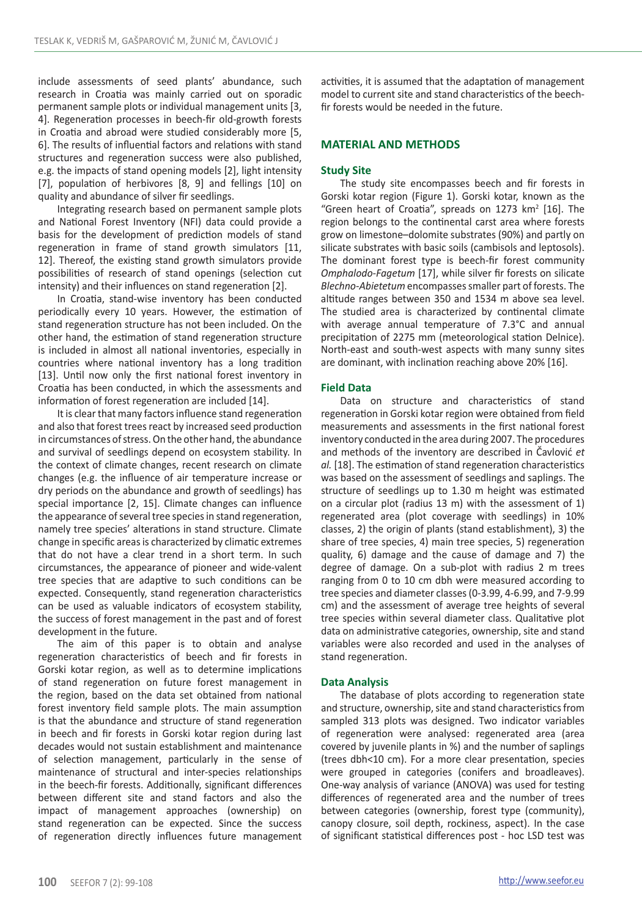include assessments of seed plants' abundance, such research in Croatia was mainly carried out on sporadic permanent sample plots or individual management units [3, 4]. Regeneration processes in beech-fir old-growth forests in Croatia and abroad were studied considerably more [5, 6]. The results of influential factors and relations with stand structures and regeneration success were also published, e.g. the impacts of stand opening models [2], light intensity [7], population of herbivores [8, 9] and fellings [10] on quality and abundance of silver fir seedlings.

Integrating research based on permanent sample plots and National Forest Inventory (NFI) data could provide a basis for the development of prediction models of stand regeneration in frame of stand growth simulators [11, 12]. Thereof, the existing stand growth simulators provide possibilities of research of stand openings (selection cut intensity) and their influences on stand regeneration [2].

In Croatia, stand-wise inventory has been conducted periodically every 10 years. However, the estimation of stand regeneration structure has not been included. On the other hand, the estimation of stand regeneration structure is included in almost all national inventories, especially in countries where national inventory has a long tradition [13]. Until now only the first national forest inventory in Croatia has been conducted, in which the assessments and information of forest regeneration are included [14].

It is clear that many factors influence stand regeneration and also that forest trees react by increased seed production in circumstances of stress. On the other hand, the abundance and survival of seedlings depend on ecosystem stability. In the context of climate changes, recent research on climate changes (e.g. the influence of air temperature increase or dry periods on the abundance and growth of seedlings) has special importance [2, 15]. Climate changes can influence the appearance of several tree species in stand regeneration, namely tree species' alterations in stand structure. Climate change in specific areas is characterized by climatic extremes that do not have a clear trend in a short term. In such circumstances, the appearance of pioneer and wide-valent tree species that are adaptive to such conditions can be expected. Consequently, stand regeneration characteristics can be used as valuable indicators of ecosystem stability, the success of forest management in the past and of forest development in the future.

The aim of this paper is to obtain and analyse regeneration characteristics of beech and fir forests in Gorski kotar region, as well as to determine implications of stand regeneration on future forest management in the region, based on the data set obtained from national forest inventory field sample plots. The main assumption is that the abundance and structure of stand regeneration in beech and fir forests in Gorski kotar region during last decades would not sustain establishment and maintenance of selection management, particularly in the sense of maintenance of structural and inter-species relationships in the beech-fir forests. Additionally, significant differences between different site and stand factors and also the impact of management approaches (ownership) on stand regeneration can be expected. Since the success of regeneration directly influences future management activities, it is assumed that the adaptation of management model to current site and stand characteristics of the beechfir forests would be needed in the future.

# **MATERIAL AND METHODS**

## **Study Site**

The study site encompasses beech and fir forests in Gorski kotar region (Figure 1). Gorski kotar, known as the "Green heart of Croatia", spreads on  $1273 \text{ km}^2$  [16]. The region belongs to the continental carst area where forests grow on limestone–dolomite substrates (90%) and partly on silicate substrates with basic soils (cambisols and leptosols). The dominant forest type is beech-fir forest community *Omphalodo-Fagetum* [17], while silver fir forests on silicate *Blechno-Abietetum* encompasses smaller part of forests. The altitude ranges between 350 and 1534 m above sea level. The studied area is characterized by continental climate with average annual temperature of 7.3°C and annual precipitation of 2275 mm (meteorological station Delnice). North-east and south-west aspects with many sunny sites are dominant, with inclination reaching above 20% [16].

## **Field Data**

Data on structure and characteristics of stand regeneration in Gorski kotar region were obtained from field measurements and assessments in the first national forest inventory conducted in the area during 2007. The procedures and methods of the inventory are described in Čavlović *et al.* [18]. The estimation of stand regeneration characteristics was based on the assessment of seedlings and saplings. The structure of seedlings up to 1.30 m height was estimated on a circular plot (radius 13 m) with the assessment of 1) regenerated area (plot coverage with seedlings) in 10% classes, 2) the origin of plants (stand establishment), 3) the share of tree species, 4) main tree species, 5) regeneration quality, 6) damage and the cause of damage and 7) the degree of damage. On a sub-plot with radius 2 m trees ranging from 0 to 10 cm dbh were measured according to tree species and diameter classes (0-3.99, 4-6.99, and 7-9.99 cm) and the assessment of average tree heights of several tree species within several diameter class. Qualitative plot data on administrative categories, ownership, site and stand variables were also recorded and used in the analyses of stand regeneration.

## **Data Analysis**

The database of plots according to regeneration state and structure, ownership, site and stand characteristics from sampled 313 plots was designed. Two indicator variables of regeneration were analysed: regenerated area (area covered by juvenile plants in %) and the number of saplings (trees dbh<10 cm). For a more clear presentation, species were grouped in categories (conifers and broadleaves). One-way analysis of variance (ANOVA) was used for testing differences of regenerated area and the number of trees between categories (ownership, forest type (community), canopy closure, soil depth, rockiness, aspect). In the case of significant statistical differences post - hoc LSD test was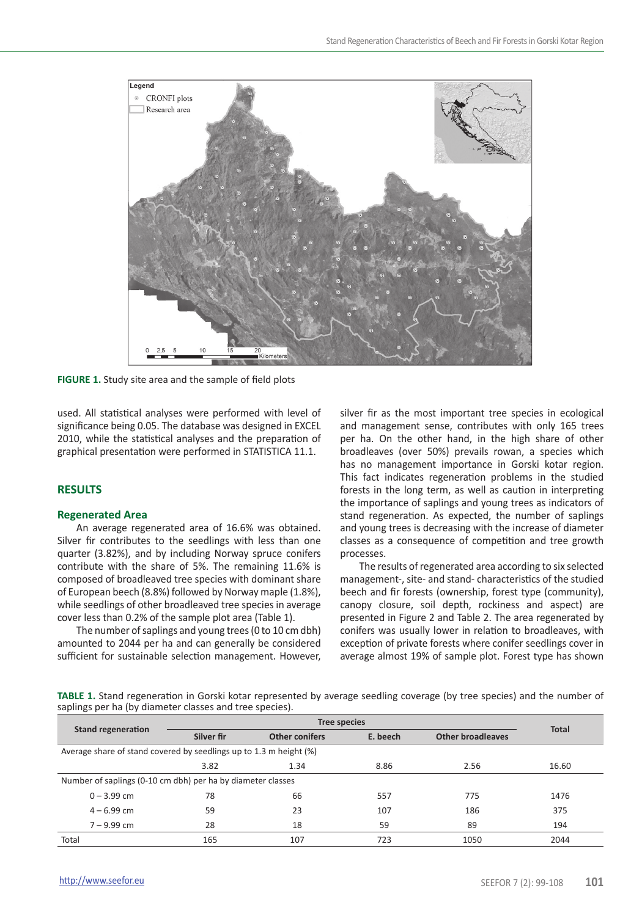

**FIGURE 1.** Study site area and the sample of field plots

used. All statistical analyses were performed with level of significance being 0.05. The database was designed in EXCEL 2010, while the statistical analyses and the preparation of graphical presentation were performed in STATISTICA 11.1.

# **RESULTS**

#### **Regenerated Area**

An average regenerated area of 16.6% was obtained. Silver fir contributes to the seedlings with less than one quarter (3.82%), and by including Norway spruce conifers contribute with the share of 5%. The remaining 11.6% is composed of broadleaved tree species with dominant share of European beech (8.8%) followed by Norway maple (1.8%), while seedlings of other broadleaved tree species in average cover less than 0.2% of the sample plot area (Table 1).

The number of saplings and young trees (0 to 10 cm dbh) amounted to 2044 per ha and can generally be considered sufficient for sustainable selection management. However,

silver fir as the most important tree species in ecological and management sense, contributes with only 165 trees per ha. On the other hand, in the high share of other broadleaves (over 50%) prevails rowan, a species which has no management importance in Gorski kotar region. This fact indicates regeneration problems in the studied forests in the long term, as well as caution in interpreting the importance of saplings and young trees as indicators of stand regeneration. As expected, the number of saplings and young trees is decreasing with the increase of diameter classes as a consequence of competition and tree growth processes.

The results of regenerated area according to six selected management-, site- and stand- characteristics of the studied beech and fir forests (ownership, forest type (community), canopy closure, soil depth, rockiness and aspect) are presented in Figure 2 and Table 2. The area regenerated by conifers was usually lower in relation to broadleaves, with exception of private forests where conifer seedlings cover in average almost 19% of sample plot. Forest type has shown

**TABLE 1.** Stand regeneration in Gorski kotar represented by average seedling coverage (by tree species) and the number of saplings per ha (by diameter classes and tree species).

| <b>Stand regeneration</b>                                          | Silver fir | <b>Other conifers</b> | E. beech | <b>Other broadleaves</b> | <b>Total</b> |  |  |  |  |  |
|--------------------------------------------------------------------|------------|-----------------------|----------|--------------------------|--------------|--|--|--|--|--|
| Average share of stand covered by seedlings up to 1.3 m height (%) |            |                       |          |                          |              |  |  |  |  |  |
|                                                                    | 3.82       | 1.34                  | 8.86     | 2.56                     | 16.60        |  |  |  |  |  |
| Number of saplings (0-10 cm dbh) per ha by diameter classes        |            |                       |          |                          |              |  |  |  |  |  |
| $0 - 3.99$ cm                                                      | 78         |                       | 557      | 775                      | 1476         |  |  |  |  |  |
| $4 - 6.99$ cm                                                      | 59         | 23                    | 107      | 186                      | 375          |  |  |  |  |  |
| $7 - 9.99$ cm                                                      | 28         | 18                    | 59       | 89                       | 194          |  |  |  |  |  |
| Total                                                              | 165        | 107                   | 723      | 1050                     | 2044         |  |  |  |  |  |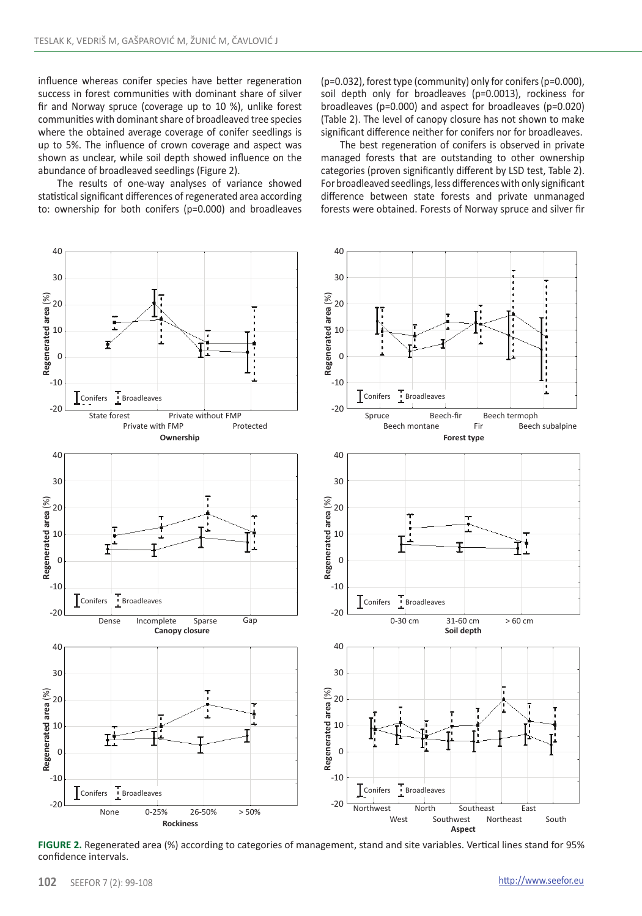influence whereas conifer species have better regeneration success in forest communities with dominant share of silver fir and Norway spruce (coverage up to 10 %), unlike forest communities with dominant share of broadleaved tree species where the obtained average coverage of conifer seedlings is up to 5%. The influence of crown coverage and aspect was shown as unclear, while soil depth showed influence on the abundance of broadleaved seedlings (Figure 2).

The results of one-way analyses of variance showed statistical significant differences of regenerated area according to: ownership for both conifers (p=0.000) and broadleaves (p=0.032), forest type (community) only for conifers (p=0.000), soil depth only for broadleaves (p=0.0013), rockiness for broadleaves (p=0.000) and aspect for broadleaves (p=0.020) (Table 2). The level of canopy closure has not shown to make significant difference neither for conifers nor for broadleaves.

The best regeneration of conifers is observed in private managed forests that are outstanding to other ownership categories (proven significantly different by LSD test, Table 2). For broadleaved seedlings, less differences with only significant difference between state forests and private unmanaged forests were obtained. Forests of Norway spruce and silver fir



**FIGURE 2.** Regenerated area (%) according to categories of management, stand and site variables. Vertical lines stand for 95% confidence intervals.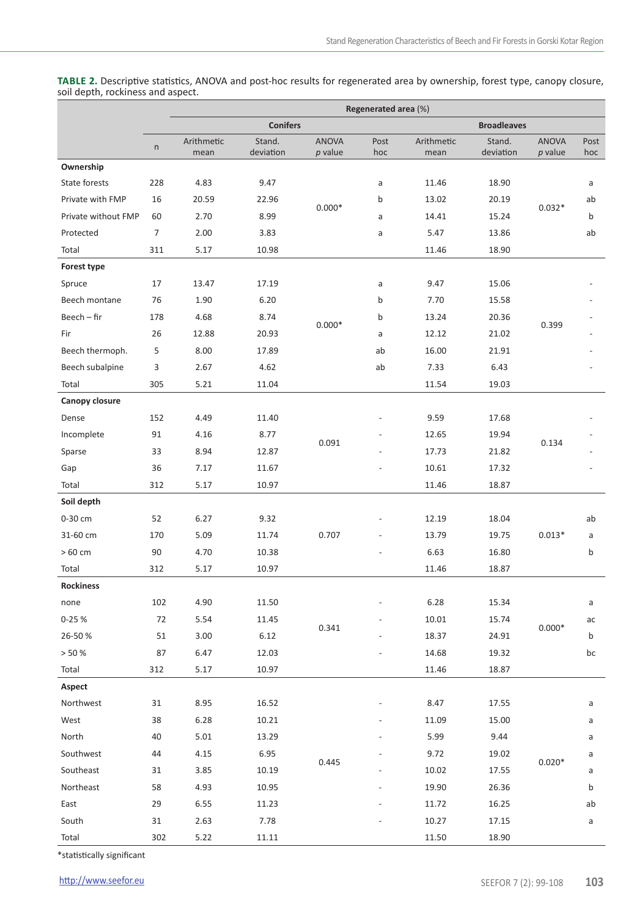**Table 2.** Descriptive statistics, ANOVA and post-hoc results for regenerated area by ownership, forest type, canopy closure, soil depth, rockiness and aspect.

|                     |                | Regenerated area (%) |                     |                         |             |                    |                     |                         |             |  |  |
|---------------------|----------------|----------------------|---------------------|-------------------------|-------------|--------------------|---------------------|-------------------------|-------------|--|--|
|                     |                |                      | <b>Conifers</b>     |                         |             |                    |                     | <b>Broadleaves</b>      |             |  |  |
|                     | $\sf n$        | Arithmetic<br>mean   | Stand.<br>deviation | <b>ANOVA</b><br>p value | Post<br>hoc | Arithmetic<br>mean | Stand.<br>deviation | <b>ANOVA</b><br>p value | Post<br>hoc |  |  |
| Ownership           |                |                      |                     |                         |             |                    |                     |                         |             |  |  |
| State forests       | 228            | 4.83                 | 9.47                |                         | a           | 11.46              | 18.90               |                         | a           |  |  |
| Private with FMP    | 16             | 20.59                | 22.96               |                         | b           | 13.02              | 20.19               |                         | ab          |  |  |
| Private without FMP | 60             | 2.70                 | 8.99                | $0.000*$                | a           | 14.41              | 15.24               | $0.032*$                | b           |  |  |
| Protected           | $\overline{7}$ | 2.00                 | 3.83                |                         | a           | 5.47               | 13.86               |                         | ab          |  |  |
| Total               | 311            | 5.17                 | 10.98               |                         |             | 11.46              | 18.90               |                         |             |  |  |
| Forest type         |                |                      |                     |                         |             |                    |                     |                         |             |  |  |
| Spruce              | 17             | 13.47                | 17.19               |                         | a           | 9.47               | 15.06               |                         |             |  |  |
| Beech montane       | 76             | 1.90                 | 6.20                |                         | b           | 7.70               | 15.58               |                         |             |  |  |
| Beech – fir         | 178            | 4.68                 | 8.74                |                         | b           | 13.24              | 20.36               |                         |             |  |  |
| Fir                 | 26             | 12.88                | 20.93               | $0.000*$                | a           | 12.12              | 21.02               | 0.399                   |             |  |  |
| Beech thermoph.     | 5              | 8.00                 | 17.89               |                         | ab          | 16.00              | 21.91               |                         |             |  |  |
| Beech subalpine     | 3              | 2.67                 | 4.62                |                         | ab          | 7.33               | 6.43                |                         |             |  |  |
| Total               | 305            | 5.21                 | 11.04               |                         |             | 11.54              | 19.03               |                         |             |  |  |
| Canopy closure      |                |                      |                     |                         |             |                    |                     |                         |             |  |  |
| Dense               | 152            | 4.49                 | 11.40               |                         |             | 9.59               | 17.68               |                         |             |  |  |
| Incomplete          | 91             | 4.16                 | 8.77                |                         |             | 12.65              | 19.94               |                         |             |  |  |
| Sparse              | 33             | 8.94                 | 12.87               | 0.091                   |             | 17.73              | 21.82               | 0.134                   |             |  |  |
| Gap                 | 36             | 7.17                 | 11.67               |                         |             | 10.61              | 17.32               |                         |             |  |  |
| Total               | 312            | 5.17                 | 10.97               |                         |             | 11.46              | 18.87               |                         |             |  |  |
| Soil depth          |                |                      |                     |                         |             |                    |                     |                         |             |  |  |
| 0-30 cm             | 52             | 6.27                 | 9.32                |                         |             | 12.19              | 18.04               |                         | ab          |  |  |
| 31-60 cm            | 170            | 5.09                 | 11.74               | 0.707                   |             | 13.79              | 19.75               | $0.013*$                | a           |  |  |
| $>60$ cm            | 90             | 4.70                 | 10.38               |                         |             | 6.63               | 16.80               |                         | b           |  |  |
| Total               | 312            | 5.17                 | 10.97               |                         |             | 11.46              | 18.87               |                         |             |  |  |
| Rockiness           |                |                      |                     |                         |             |                    |                     |                         |             |  |  |
| none                | 102            | 4.90                 | 11.50               |                         |             | 6.28               | 15.34               |                         | a           |  |  |
| $0 - 25%$           | 72             | 5.54                 | 11.45               | 0.341                   |             | 10.01              | 15.74               | $0.000*$                | ac          |  |  |
| 26-50 %             | 51             | 3.00                 | 6.12                |                         |             | 18.37              | 24.91               |                         | b           |  |  |
| > 50%               | 87             | 6.47                 | 12.03               |                         |             | 14.68              | 19.32               |                         | bc          |  |  |
| Total               | 312            | 5.17                 | 10.97               |                         |             | 11.46              | 18.87               |                         |             |  |  |
| Aspect              |                |                      |                     |                         |             |                    |                     |                         |             |  |  |
| Northwest           | 31             | 8.95                 | 16.52               |                         |             | 8.47               | 17.55               |                         | a           |  |  |
| West                | 38             | 6.28                 | 10.21               |                         |             | 11.09              | 15.00               |                         | a           |  |  |
| North               | 40             | 5.01                 | 13.29               |                         |             | 5.99               | 9.44                |                         | a           |  |  |
| Southwest           | 44             | 4.15                 | 6.95                | 0.445                   |             | 9.72               | 19.02               | $0.020*$                | a           |  |  |
| Southeast           | 31             | 3.85                 | 10.19               |                         |             | 10.02              | 17.55               |                         | a           |  |  |
| Northeast           | 58             | 4.93                 | 10.95               |                         |             | 19.90              | 26.36               |                         | b           |  |  |
| East                | 29             | 6.55                 | 11.23               |                         |             | 11.72              | 16.25               |                         | ab          |  |  |
| South               | 31             | 2.63                 | 7.78                |                         |             | 10.27              | 17.15               |                         | a           |  |  |
| Total               | 302            | 5.22                 | 11.11               |                         |             | 11.50              | 18.90               |                         |             |  |  |

\*statistically significant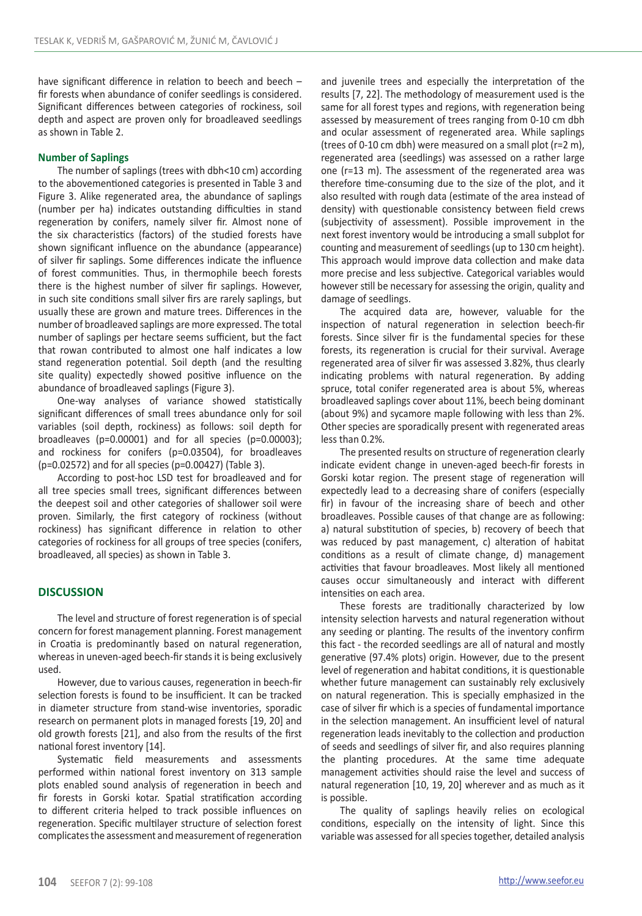have significant difference in relation to beech and beech – fir forests when abundance of conifer seedlings is considered. Significant differences between categories of rockiness, soil depth and aspect are proven only for broadleaved seedlings as shown in Table 2.

### **Number of Saplings**

The number of saplings (trees with dbh<10 cm) according to the abovementioned categories is presented in Table 3 and Figure 3. Alike regenerated area, the abundance of saplings (number per ha) indicates outstanding difficulties in stand regeneration by conifers, namely silver fir. Almost none of the six characteristics (factors) of the studied forests have shown significant influence on the abundance (appearance) of silver fir saplings. Some differences indicate the influence of forest communities. Thus, in thermophile beech forests there is the highest number of silver fir saplings. However, in such site conditions small silver firs are rarely saplings, but usually these are grown and mature trees. Differences in the number of broadleaved saplings are more expressed. The total number of saplings per hectare seems sufficient, but the fact that rowan contributed to almost one half indicates a low stand regeneration potential. Soil depth (and the resulting site quality) expectedly showed positive influence on the abundance of broadleaved saplings (Figure 3).

One-way analyses of variance showed statistically significant differences of small trees abundance only for soil variables (soil depth, rockiness) as follows: soil depth for broadleaves (p=0.00001) and for all species (p=0.00003); and rockiness for conifers (p=0.03504), for broadleaves (p=0.02572) and for all species (p=0.00427) (Table 3).

According to post-hoc LSD test for broadleaved and for all tree species small trees, significant differences between the deepest soil and other categories of shallower soil were proven. Similarly, the first category of rockiness (without rockiness) has significant difference in relation to other categories of rockiness for all groups of tree species (conifers, broadleaved, all species) as shown in Table 3.

# **DISCUSSION**

The level and structure of forest regeneration is of special concern for forest management planning. Forest management in Croatia is predominantly based on natural regeneration, whereas in uneven-aged beech-fir stands it is being exclusively used.

However, due to various causes, regeneration in beech-fir selection forests is found to be insufficient. It can be tracked in diameter structure from stand-wise inventories, sporadic research on permanent plots in managed forests [19, 20] and old growth forests [21], and also from the results of the first national forest inventory [14].

Systematic field measurements and assessments performed within national forest inventory on 313 sample plots enabled sound analysis of regeneration in beech and fir forests in Gorski kotar. Spatial stratification according to different criteria helped to track possible influences on regeneration. Specific multilayer structure of selection forest complicates the assessment and measurement of regeneration and juvenile trees and especially the interpretation of the results [7, 22]. The methodology of measurement used is the same for all forest types and regions, with regeneration being assessed by measurement of trees ranging from 0-10 cm dbh and ocular assessment of regenerated area. While saplings (trees of 0-10 cm dbh) were measured on a small plot (r=2 m), regenerated area (seedlings) was assessed on a rather large one (r=13 m). The assessment of the regenerated area was therefore time-consuming due to the size of the plot, and it also resulted with rough data (estimate of the area instead of density) with questionable consistency between field crews (subjectivity of assessment). Possible improvement in the next forest inventory would be introducing a small subplot for counting and measurement of seedlings (up to 130 cm height). This approach would improve data collection and make data more precise and less subjective. Categorical variables would however still be necessary for assessing the origin, quality and damage of seedlings.

The acquired data are, however, valuable for the inspection of natural regeneration in selection beech-fir forests. Since silver fir is the fundamental species for these forests, its regeneration is crucial for their survival. Average regenerated area of silver fir was assessed 3.82%, thus clearly indicating problems with natural regeneration. By adding spruce, total conifer regenerated area is about 5%, whereas broadleaved saplings cover about 11%, beech being dominant (about 9%) and sycamore maple following with less than 2%. Other species are sporadically present with regenerated areas less than 0.2%.

The presented results on structure of regeneration clearly indicate evident change in uneven-aged beech-fir forests in Gorski kotar region. The present stage of regeneration will expectedly lead to a decreasing share of conifers (especially fir) in favour of the increasing share of beech and other broadleaves. Possible causes of that change are as following: a) natural substitution of species, b) recovery of beech that was reduced by past management, c) alteration of habitat conditions as a result of climate change, d) management activities that favour broadleaves. Most likely all mentioned causes occur simultaneously and interact with different intensities on each area.

These forests are traditionally characterized by low intensity selection harvests and natural regeneration without any seeding or planting. The results of the inventory confirm this fact - the recorded seedlings are all of natural and mostly generative (97.4% plots) origin. However, due to the present level of regeneration and habitat conditions, it is questionable whether future management can sustainably rely exclusively on natural regeneration. This is specially emphasized in the case of silver fir which is a species of fundamental importance in the selection management. An insufficient level of natural regeneration leads inevitably to the collection and production of seeds and seedlings of silver fir, and also requires planning the planting procedures. At the same time adequate management activities should raise the level and success of natural regeneration [10, 19, 20] wherever and as much as it is possible.

The quality of saplings heavily relies on ecological conditions, especially on the intensity of light. Since this variable was assessed for all species together, detailed analysis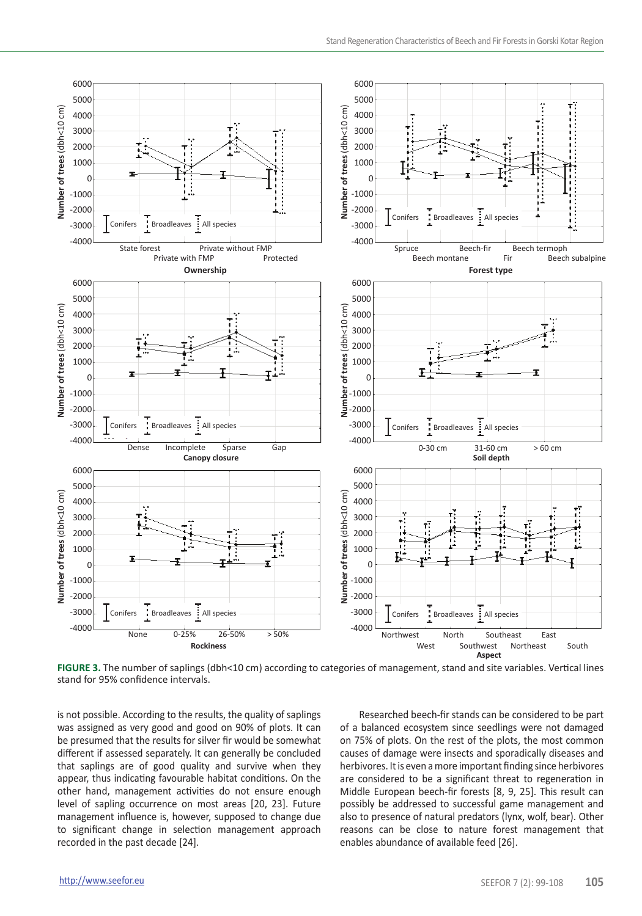

**FIGURE 3.** The number of saplings (dbh<10 cm) according to categories of management, stand and site variables. Vertical lines stand for 95% confidence intervals.

is not possible. According to the results, the quality of saplings was assigned as very good and good on 90% of plots. It can be presumed that the results for silver fir would be somewhat different if assessed separately. It can generally be concluded that saplings are of good quality and survive when they appear, thus indicating favourable habitat conditions. On the other hand, management activities do not ensure enough level of sapling occurrence on most areas [20, 23]. Future management influence is, however, supposed to change due to significant change in selection management approach recorded in the past decade [24].

Researched beech-fir stands can be considered to be part of a balanced ecosystem since seedlings were not damaged on 75% of plots. On the rest of the plots, the most common causes of damage were insects and sporadically diseases and herbivores. It is even a more important finding since herbivores are considered to be a significant threat to regeneration in Middle European beech-fir forests [8, 9, 25]. This result can possibly be addressed to successful game management and also to presence of natural predators (lynx, wolf, bear). Other reasons can be close to nature forest management that enables abundance of available feed [26].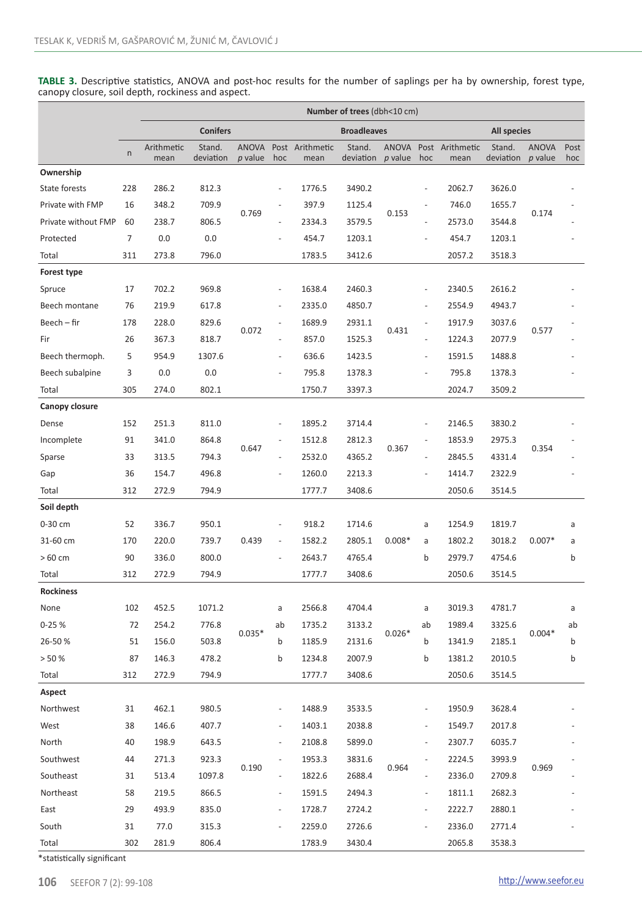**TABLE 3.** Descriptive statistics, ANOVA and post-hoc results for the number of saplings per ha by ownership, forest type, canopy closure, soil depth, rockiness and aspect.

|                     |     | Number of trees (dbh<10 cm) |                     |                  |                |                         |                     |                              |                          |                               |                     |                         |             |
|---------------------|-----|-----------------------------|---------------------|------------------|----------------|-------------------------|---------------------|------------------------------|--------------------------|-------------------------------|---------------------|-------------------------|-------------|
|                     |     |                             | <b>Conifers</b>     |                  |                |                         | <b>Broadleaves</b>  |                              |                          |                               | <b>All species</b>  |                         |             |
|                     | n   | Arithmetic<br>mean          | Stand.<br>deviation | ANOVA<br>p value | hoc            | Post Arithmetic<br>mean | Stand.<br>deviation | p value                      | hoc                      | ANOVA Post Arithmetic<br>mean | Stand.<br>deviation | <b>ANOVA</b><br>p value | Post<br>hoc |
| Ownership           |     |                             |                     |                  |                |                         |                     |                              |                          |                               |                     |                         |             |
| State forests       | 228 | 286.2                       | 812.3               |                  | $\overline{a}$ | 1776.5                  | 3490.2              | ÷<br>0.153<br>$\overline{a}$ |                          | 2062.7                        | 3626.0              |                         |             |
| Private with FMP    | 16  | 348.2                       | 709.9               |                  |                | 397.9                   | 1125.4              |                              |                          | 746.0                         | 1655.7              |                         |             |
| Private without FMP | 60  | 238.7                       | 806.5               | 0.769            | $\overline{a}$ | 2334.3                  | 3579.5              |                              |                          | 2573.0                        | 3544.8              | 0.174                   |             |
| Protected           | 7   | 0.0                         | 0.0                 |                  |                | 454.7                   | 1203.1              |                              |                          | 454.7                         | 1203.1              |                         |             |
| Total               | 311 | 273.8                       | 796.0               |                  |                | 1783.5                  | 3412.6              |                              |                          | 2057.2                        | 3518.3              |                         |             |
| Forest type         |     |                             |                     |                  |                |                         |                     |                              |                          |                               |                     |                         |             |
| Spruce              | 17  | 702.2                       | 969.8               |                  | $\overline{a}$ | 1638.4                  | 2460.3              | 0.431                        | $\overline{a}$           | 2340.5                        | 2616.2              |                         |             |
| Beech montane       | 76  | 219.9                       | 617.8               |                  |                | 2335.0                  | 4850.7              |                              |                          | 2554.9                        | 4943.7              |                         |             |
| Beech – fir         | 178 | 228.0                       | 829.6               |                  | L,             | 1689.9                  | 2931.1              |                              | $\overline{a}$           | 1917.9                        | 3037.6              |                         |             |
| Fir                 | 26  | 367.3                       | 818.7               | 0.072            | $\overline{a}$ | 857.0                   | 1525.3              |                              | $\overline{a}$           | 1224.3                        | 2077.9              | 0.577                   |             |
| Beech thermoph.     | 5   | 954.9                       | 1307.6              |                  | $\overline{a}$ | 636.6                   | 1423.5              |                              | $\overline{a}$           | 1591.5                        | 1488.8              |                         |             |
| Beech subalpine     | 3   | 0.0                         | 0.0                 |                  | $\overline{a}$ | 795.8                   | 1378.3              |                              | $\overline{a}$           | 795.8                         | 1378.3              |                         |             |
| Total               | 305 | 274.0                       | 802.1               |                  |                | 1750.7                  | 3397.3              |                              |                          | 2024.7                        | 3509.2              |                         |             |
| Canopy closure      |     |                             |                     |                  |                |                         |                     |                              |                          |                               |                     |                         |             |
| Dense               | 152 | 251.3                       | 811.0               |                  |                | 1895.2                  | 3714.4              | 0.367                        |                          | 2146.5                        | 3830.2              | 0.354                   |             |
| Incomplete          | 91  | 341.0                       | 864.8               |                  | ÷              | 1512.8                  | 2812.3              |                              | ÷                        | 1853.9                        | 2975.3              |                         |             |
| Sparse              | 33  | 313.5                       | 794.3               | 0.647            | $\overline{a}$ | 2532.0                  | 4365.2              |                              | $\centerdot$             | 2845.5                        | 4331.4              |                         |             |
| Gap                 | 36  | 154.7                       | 496.8               |                  | $\overline{a}$ | 1260.0                  | 2213.3              |                              | L,                       | 1414.7                        | 2322.9              |                         |             |
| Total               | 312 | 272.9                       | 794.9               |                  |                | 1777.7                  | 3408.6              |                              |                          | 2050.6                        | 3514.5              |                         |             |
| Soil depth          |     |                             |                     |                  |                |                         |                     |                              |                          |                               |                     |                         |             |
| 0-30 cm             | 52  | 336.7                       | 950.1               |                  | ÷              | 918.2                   | 1714.6              | $0.008*$                     | a                        | 1254.9                        | 1819.7              | $0.007*$                | a           |
| 31-60 cm            | 170 | 220.0                       | 739.7               | 0.439            | $\overline{a}$ | 1582.2                  | 2805.1              |                              | a                        | 1802.2                        | 3018.2              |                         | a           |
| > 60 cm             | 90  | 336.0                       | 800.0               |                  | $\overline{a}$ | 2643.7                  | 4765.4              |                              | b                        | 2979.7                        | 4754.6              |                         | b           |
| Total               | 312 | 272.9                       | 794.9               |                  |                | 1777.7                  | 3408.6              |                              |                          | 2050.6                        | 3514.5              |                         |             |
| Rockiness           |     |                             |                     |                  |                |                         |                     |                              |                          |                               |                     |                         |             |
| None                | 102 | 452.5                       | 1071.2              |                  | a              | 2566.8                  | 4704.4              | $0.026*$                     | a                        | 3019.3                        | 4781.7              | $0.004*$                | a           |
| $0 - 25%$           | 72  | 254.2                       | 776.8               |                  | ab             | 1735.2                  | 3133.2              |                              | ab                       | 1989.4                        | 3325.6              |                         | ab          |
| 26-50%              | 51  | 156.0                       | 503.8               | $0.035*$         | b              | 1185.9                  | 2131.6              |                              | b                        | 1341.9                        | 2185.1              |                         | b           |
| > 50%               | 87  | 146.3                       | 478.2               |                  | b              | 1234.8                  | 2007.9              |                              | b                        | 1381.2                        | 2010.5              |                         | b           |
| Total               | 312 | 272.9                       | 794.9               |                  |                | 1777.7                  | 3408.6              |                              |                          | 2050.6                        | 3514.5              |                         |             |
| Aspect              |     |                             |                     |                  |                |                         |                     |                              |                          |                               |                     |                         |             |
| Northwest           | 31  | 462.1                       | 980.5               |                  |                | 1488.9                  | 3533.5              | 0.964                        |                          | 1950.9                        | 3628.4              |                         |             |
| West                | 38  | 146.6                       | 407.7               |                  |                | 1403.1                  | 2038.8              |                              |                          | 1549.7                        | 2017.8              |                         |             |
| North               | 40  | 198.9                       | 643.5               | 0.190            |                | 2108.8                  | 5899.0              |                              |                          | 2307.7                        | 6035.7              |                         |             |
| Southwest           | 44  | 271.3                       | 923.3               |                  |                | 1953.3                  | 3831.6              |                              |                          | 2224.5                        | 3993.9              |                         |             |
| Southeast           | 31  | 513.4                       | 1097.8              |                  |                | 1822.6                  | 2688.4              |                              |                          | 2336.0                        | 2709.8              | 0.969                   |             |
| Northeast           | 58  | 219.5                       | 866.5               |                  | $\overline{a}$ | 1591.5                  | 2494.3              |                              | $\overline{\phantom{0}}$ | 1811.1                        | 2682.3              |                         |             |
| East                | 29  | 493.9                       | 835.0               |                  | $\overline{a}$ | 1728.7                  | 2724.2              |                              |                          | 2222.7                        | 2880.1              |                         |             |
| South               | 31  | 77.0                        | 315.3               |                  |                | 2259.0                  | 2726.6              |                              |                          | 2336.0                        | 2771.4              |                         |             |
| Total               | 302 | 281.9                       | 806.4               |                  |                | 1783.9                  | 3430.4              |                              |                          | 2065.8                        | 3538.3              |                         |             |

\*statistically significant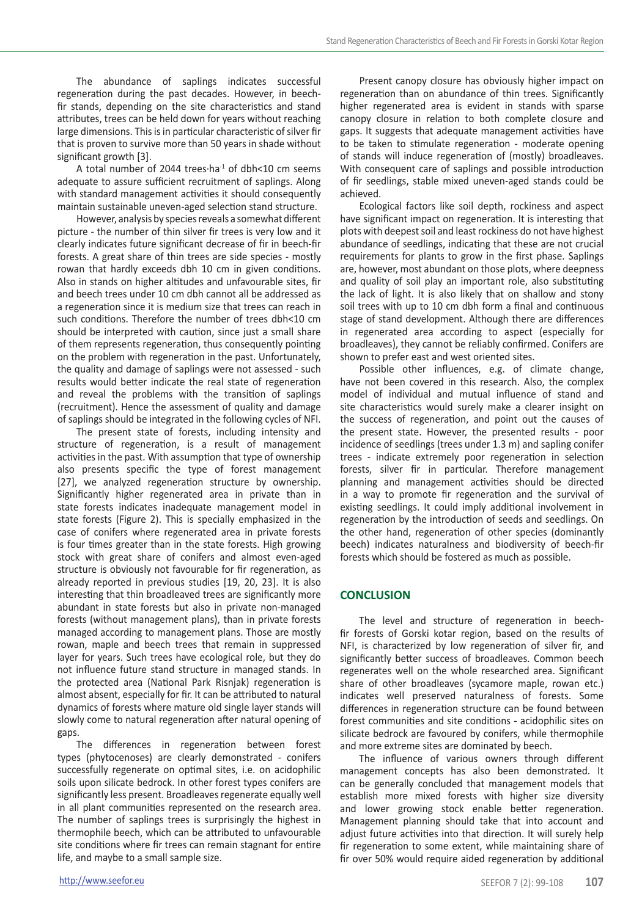The abundance of saplings indicates successful regeneration during the past decades. However, in beechfir stands, depending on the site characteristics and stand attributes, trees can be held down for years without reaching large dimensions. This is in particular characteristic of silver fir that is proven to survive more than 50 years in shade without significant growth [3].

A total number of 2044 trees·ha<sup>-1</sup> of dbh<10 cm seems adequate to assure sufficient recruitment of saplings. Along with standard management activities it should consequently maintain sustainable uneven-aged selection stand structure.

However, analysis by species reveals a somewhat different picture - the number of thin silver fir trees is very low and it clearly indicates future significant decrease of fir in beech-fir forests. A great share of thin trees are side species - mostly rowan that hardly exceeds dbh 10 cm in given conditions. Also in stands on higher altitudes and unfavourable sites, fir and beech trees under 10 cm dbh cannot all be addressed as a regeneration since it is medium size that trees can reach in such conditions. Therefore the number of trees dbh<10 cm should be interpreted with caution, since just a small share of them represents regeneration, thus consequently pointing on the problem with regeneration in the past. Unfortunately, the quality and damage of saplings were not assessed - such results would better indicate the real state of regeneration and reveal the problems with the transition of saplings (recruitment). Hence the assessment of quality and damage of saplings should be integrated in the following cycles of NFI.

The present state of forests, including intensity and structure of regeneration, is a result of management activities in the past. With assumption that type of ownership also presents specific the type of forest management [27], we analyzed regeneration structure by ownership. Significantly higher regenerated area in private than in state forests indicates inadequate management model in state forests (Figure 2). This is specially emphasized in the case of conifers where regenerated area in private forests is four times greater than in the state forests. High growing stock with great share of conifers and almost even-aged structure is obviously not favourable for fir regeneration, as already reported in previous studies [19, 20, 23]. It is also interesting that thin broadleaved trees are significantly more abundant in state forests but also in private non-managed forests (without management plans), than in private forests managed according to management plans. Those are mostly rowan, maple and beech trees that remain in suppressed layer for years. Such trees have ecological role, but they do not influence future stand structure in managed stands. In the protected area (National Park Risnjak) regeneration is almost absent, especially for fir. It can be attributed to natural dynamics of forests where mature old single layer stands will slowly come to natural regeneration after natural opening of gaps.

The differences in regeneration between forest types (phytocenoses) are clearly demonstrated - conifers successfully regenerate on optimal sites, i.e. on acidophilic soils upon silicate bedrock. In other forest types conifers are significantly less present. Broadleaves regenerate equally well in all plant communities represented on the research area. The number of saplings trees is surprisingly the highest in thermophile beech, which can be attributed to unfavourable site conditions where fir trees can remain stagnant for entire life, and maybe to a small sample size.

Present canopy closure has obviously higher impact on regeneration than on abundance of thin trees. Significantly higher regenerated area is evident in stands with sparse canopy closure in relation to both complete closure and gaps. It suggests that adequate management activities have to be taken to stimulate regeneration - moderate opening of stands will induce regeneration of (mostly) broadleaves. With consequent care of saplings and possible introduction of fir seedlings, stable mixed uneven-aged stands could be achieved.

Ecological factors like soil depth, rockiness and aspect have significant impact on regeneration. It is interesting that plots with deepest soil and least rockiness do not have highest abundance of seedlings, indicating that these are not crucial requirements for plants to grow in the first phase. Saplings are, however, most abundant on those plots, where deepness and quality of soil play an important role, also substituting the lack of light. It is also likely that on shallow and stony soil trees with up to 10 cm dbh form a final and continuous stage of stand development. Although there are differences in regenerated area according to aspect (especially for broadleaves), they cannot be reliably confirmed. Conifers are shown to prefer east and west oriented sites.

Possible other influences, e.g. of climate change, have not been covered in this research. Also, the complex model of individual and mutual influence of stand and site characteristics would surely make a clearer insight on the success of regeneration, and point out the causes of the present state. However, the presented results - poor incidence of seedlings (trees under 1.3 m) and sapling conifer trees - indicate extremely poor regeneration in selection forests, silver fir in particular. Therefore management planning and management activities should be directed in a way to promote fir regeneration and the survival of existing seedlings. It could imply additional involvement in regeneration by the introduction of seeds and seedlings. On the other hand, regeneration of other species (dominantly beech) indicates naturalness and biodiversity of beech-fir forests which should be fostered as much as possible.

# **CONCLUSION**

The level and structure of regeneration in beechfir forests of Gorski kotar region, based on the results of NFI, is characterized by low regeneration of silver fir, and significantly better success of broadleaves. Common beech regenerates well on the whole researched area. Significant share of other broadleaves (sycamore maple, rowan etc.) indicates well preserved naturalness of forests. Some differences in regeneration structure can be found between forest communities and site conditions - acidophilic sites on silicate bedrock are favoured by conifers, while thermophile and more extreme sites are dominated by beech.

The influence of various owners through different management concepts has also been demonstrated. It can be generally concluded that management models that establish more mixed forests with higher size diversity and lower growing stock enable better regeneration. Management planning should take that into account and adjust future activities into that direction. It will surely help fir regeneration to some extent, while maintaining share of fir over 50% would require aided regeneration by additional